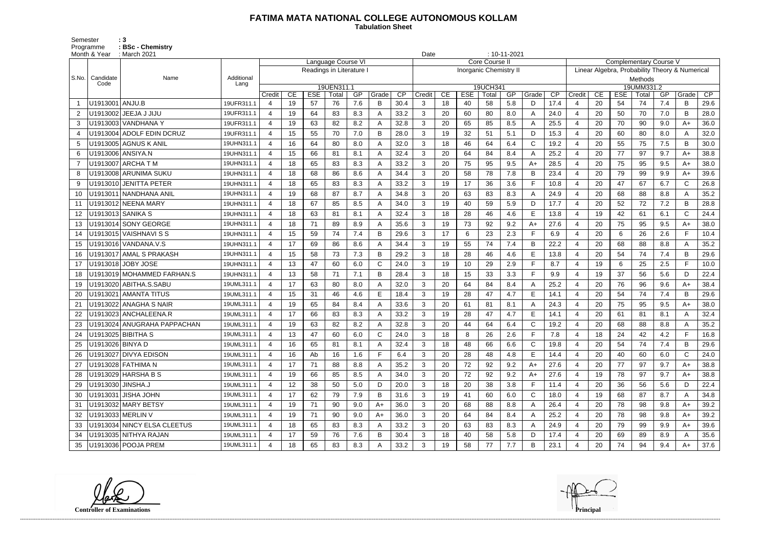## **FATIMA MATA NATIONAL COLLEGE AUTONOMOUS KOLLAM**

Semester : 3 Programme **: BSc - Chemistry**  **Tabulation Sheet** 

|       | Month & Year      | : March 2021                  |                    |                |    |                          |                     |     |              |      | Date           |         |            |                               | $: 10 - 11 - 2021$ |              |      |                                                |    |            |                     |     |              |                 |  |
|-------|-------------------|-------------------------------|--------------------|----------------|----|--------------------------|---------------------|-----|--------------|------|----------------|---------|------------|-------------------------------|--------------------|--------------|------|------------------------------------------------|----|------------|---------------------|-----|--------------|-----------------|--|
|       |                   |                               |                    |                |    |                          | Language Course VI  |     |              |      |                |         |            | Core Course I                 |                    |              |      | <b>Complementary Course V</b>                  |    |            |                     |     |              |                 |  |
|       |                   |                               |                    |                |    | Readings in Literature I |                     |     |              |      |                |         |            | <b>Inorganic Chemistry II</b> |                    |              |      | Linear Algebra, Probability Theory & Numerical |    |            |                     |     |              |                 |  |
| S.No. | Candidate<br>Code | Name                          | Additional<br>Lang |                |    |                          |                     |     |              |      |                | Methods |            |                               |                    |              |      |                                                |    |            |                     |     |              |                 |  |
|       |                   |                               |                    | Credit         | CE | <b>ESE</b>               | 19UEN311.1<br>Total | GP  | Grade        | CP   | Credit         | CE      | <b>ESE</b> | 19UCH341<br>Total             | GP                 | Grade        | CP   | Credit                                         | CE | <b>ESE</b> | 19UMM331.2<br>Total | GP  | Grade        | $\overline{CP}$ |  |
|       | U1913001   ANJU.B |                               | 19UFR311.1         | 4              | 19 | 57                       | 76                  | 7.6 | B            | 30.4 | 3              | 18      | 40         | 58                            | 5.8                | D            | 17.4 | -4                                             | 20 | 54         | 74                  | 7.4 | B            | 29.6            |  |
| 2     |                   | U1913002   JEEJA J JIJU       | 19UFR311.1         | 4              | 19 | 64                       | 83                  | 8.3 |              | 33.2 | 3              | 20      | 60         | 80                            | 8.0                | $\mathsf{A}$ | 24.0 | $\overline{4}$                                 | 20 | 50         | 70                  | 7.0 | B            | 28.0            |  |
| 3     |                   | U1913003 VANDHANA Y           | 19UFR311.1         | $\overline{4}$ | 19 | 63                       | 82                  | 8.2 | А            | 32.8 | 3              | 20      | 65         | 85                            | 8.5                | $\mathsf{A}$ | 25.5 | $\overline{4}$                                 | 20 | 70         | 90                  | 9.0 | $A+$         | 36.0            |  |
| 4     |                   | U1913004 ADOLF EDIN DCRUZ     | 19UFR311.1         | 4              | 15 | 55                       | 70                  | 7.0 | B            | 28.0 | 3              | 19      | 32         | 51                            | 5.1                | D            | 15.3 | $\overline{4}$                                 | 20 | 60         | 80                  | 8.0 | A            | 32.0            |  |
| 5     |                   | U1913005 AGNUS K ANIL         | 19UHN311.1         | $\overline{4}$ | 16 | 64                       | 80                  | 8.0 | А            | 32.0 | 3              | 18      | 46         | 64                            | 6.4                | $\mathsf{C}$ | 19.2 | $\overline{4}$                                 | 20 | 55         | 75                  | 7.5 | B            | 30.0            |  |
| 6     |                   | U1913006   ANSIYA.N           | 19UHN311.1         | 4              | 15 | 66                       | 81                  | 8.1 | А            | 32.4 | 3              | 20      | 64         | 84                            | 8.4                | $\mathsf{A}$ | 25.2 | $\overline{4}$                                 | 20 | 77         | 97                  | 9.7 | A+           | 38.8            |  |
| -7    |                   | U1913007   ARCHA T M          | 19UHN311.1         | 4              | 18 | 65                       | 83                  | 8.3 |              | 33.2 | 3              | 20      | 75         | 95                            | 9.5                | A+           | 28.5 | -4                                             | 20 | 75         | 95                  | 9.5 | A+           | 38.0            |  |
| 8     |                   | U1913008 ARUNIMA SUKU         | 19UHN311.1         | 4              | 18 | 68                       | 86                  | 8.6 | А            | 34.4 | 3              | 20      | 58         | 78                            | 7.8                | B            | 23.4 | $\overline{4}$                                 | 20 | 79         | 99                  | 9.9 | A+           | 39.6            |  |
| 9     |                   | U1913010 JENITTA PETER        | 19UHN311.1         | 4              | 18 | 65                       | 83                  | 8.3 | Α            | 33.2 | 3              | 19      | 17         | 36                            | 3.6                | $\mathsf{F}$ | 10.8 | $\overline{4}$                                 | 20 | 47         | 67                  | 6.7 | $\mathsf{C}$ | 26.8            |  |
| 10    |                   | U1913011 NANDHANA ANIL        | 19UHN311.1         | $\overline{4}$ | 19 | 68                       | 87                  | 8.7 | А            | 34.8 | 3              | 20      | 63         | 83                            | 8.3                | A            | 24.9 | $\overline{4}$                                 | 20 | 68         | 88                  | 8.8 | A            | 35.2            |  |
| 11    |                   | U1913012 NEENA MARY           | 19UHN311.1         | 4              | 18 | 67                       | 85                  | 8.5 |              | 34.0 | 3              | 19      | 40         | 59                            | 5.9                | D            | 17.7 | $\overline{4}$                                 | 20 | 52         | 72                  | 7.2 | B            | 28.8            |  |
| 12    |                   | U1913013 SANIKA S             | 19UHN311.1         | $\overline{4}$ | 18 | 63                       | 81                  | 8.1 | А            | 32.4 | 3              | 18      | 28         | 46                            | 4.6                | Е            | 13.8 | -4                                             | 19 | 42         | 61                  | 6.1 | C            | 24.4            |  |
| 13    |                   | U1913014 SONY GEORGE          | 19UHN311.1         | $\overline{4}$ | 18 | 71                       | 89                  | 8.9 | А            | 35.6 | 3              | 19      | 73         | 92                            | 9.2                | $A+$         | 27.6 | $\overline{4}$                                 | 20 | 75         | 95                  | 9.5 | $A+$         | 38.0            |  |
| 14    |                   | U1913015   VAISHNAVI S S      | 19UHN311.1         | 4              | 15 | 59                       | 74                  | 7.4 | B            | 29.6 | 3              | 17      | 6          | 23                            | 2.3                | F            | 6.9  | $\overline{4}$                                 | 20 | 6          | 26                  | 2.6 | F            | 10.4            |  |
| 15    |                   |                               | 19UHN311.1         | $\overline{4}$ | 17 | 69                       | 86                  | 8.6 | А            | 34.4 | 3              | 19      | 55         | 74                            | 7.4                | B            | 22.2 | $\overline{4}$                                 | 20 | 68         | 88                  | 8.8 | A            | 35.2            |  |
|       |                   | U1913017 AMAL S PRAKASH       | 19UHN311.1         | 4              | 15 | 58                       | 73                  | 7.3 | В            | 29.2 | 3              | 18      | 28         | 46                            | 4.6                | Е            | 13.8 | $\overline{4}$                                 | 20 | 54         | 74                  | 7.4 | B            | 29.6            |  |
| 17    |                   | U1913018 JOBY JOSE            | 19UHN311.1         | 4              | 13 | 47                       | 60                  | 6.0 | $\mathsf{C}$ | 24.0 | 3              | 19      | 10         | 29                            | 2.9                | F            | 8.7  | $\overline{4}$                                 | 19 | 6          | 25                  | 2.5 | F            | 10.0            |  |
| 18    |                   | U1913019 MOHAMMED FARHAN.S    | 19UHN311.1         | $\overline{4}$ | 13 | 58                       | 71                  | 7.1 | В            | 28.4 | 3              | 18      | 15         | 33                            | 3.3                | E            | 9.9  | $\overline{4}$                                 | 19 | 37         | 56                  | 5.6 | D            | 22.4            |  |
| 19    |                   | U1913020 ABITHA.S.SABU        | 19UML311.1         | 4              | 17 | 63                       | 80                  | 8.0 |              | 32.0 | 3              | 20      | 64         | 84                            | 8.4                | A            | 25.2 | $\overline{4}$                                 | 20 | 76         | 96                  | 9.6 | A+           | 38.4            |  |
| 20    |                   | U1913021   AMANTA TITUS       | 19UML311.1         | $\overline{4}$ | 15 | 31                       | 46                  | 4.6 | E.           | 18.4 | 3              | 19      | 28         | 47                            | 4.7                | Е            | 14.1 | $\overline{4}$                                 | 20 | 54         | 74                  | 7.4 | B            | 29.6            |  |
| 21    |                   | U1913022 ANAGHA S NAIR        | 19UML311.1         | 4              | 19 | 65                       | 84                  | 8.4 |              | 33.6 | 3              | 20      | 61         | 81                            | 8.1                | $\mathsf{A}$ | 24.3 | $\overline{4}$                                 | 20 | 75         | 95                  | 9.5 | A+           | 38.0            |  |
| 22    |                   | U1913023 ANCHALEENA.R         | 19UML311.1         | 4              | 17 | 66                       | 83                  | 8.3 | А            | 33.2 | 3              | 19      | 28         | 47                            | 4.7                | Е            | 14.1 | $\overline{4}$                                 | 20 | 61         | 81                  | 8.1 | A            | 32.4            |  |
| 23    |                   | U1913024   ANUGRAHA PAPPACHAN | 19UML311.1         | $\overline{4}$ | 19 | 63                       | 82                  | 8.2 | А            | 32.8 | 3              | 20      | 44         | 64                            | 6.4                | $\mathsf{C}$ | 19.2 | $\overline{4}$                                 | 20 | 68         | 88                  | 8.8 | A            | 35.2            |  |
| 24    |                   | U1913025 BIBITHA S            | 19UML311.1         | 4              | 13 | 47                       | 60                  | 6.0 |              | 24.0 | 3              | 18      | 8          | 26                            | 2.6                | F            | 7.8  | $\overline{4}$                                 | 18 | 24         | 42                  | 4.2 | F            | 16.8            |  |
| 25    | U1913026 BINYA D  |                               | 19UML311.1         | 4              | 16 | 65                       | 81                  | 8.1 | A            | 32.4 | 3              | 18      | 48         | 66                            | 6.6                | C            | 19.8 | 4                                              | 20 | 54         | 74                  | 7.4 | B            | 29.6            |  |
|       |                   | U1913027 DIVYA EDISON         | 19UML311.1         | 4              | 16 | Ab                       | 16                  | 1.6 | F.           | 6.4  | 3              | 20      | 28         | 48                            | 4.8                | E            | 14.4 | $\overline{4}$                                 | 20 | 40         | 60                  | 6.0 | C.           | 24.0            |  |
| 27    |                   | U1913028 FATHIMA N            | 19UML311.1         | $\overline{4}$ | 17 | 71                       | 88                  | 8.8 | A            | 35.2 | 3              | 20      | 72         | 92                            | 9.2                | $A+$         | 27.6 | -4                                             | 20 | 77         | 97                  | 9.7 | A+           | 38.8            |  |
| 28    |                   | U1913029 HARSHA B S           | 19UML311.1         | 4              | 19 | 66                       | 85                  | 8.5 | A            | 34.0 | 3 <sup>1</sup> | 20      | 72         | 92                            | 9.2                | $A+$         | 27.6 | $\overline{4}$                                 | 19 | 78         | 97                  | 9.7 | $A+$         | 38.8            |  |
| 29    | U1913030 JINSHA.J |                               | 19UML311.1         | 4              | 12 | 38                       | 50                  | 5.0 | D            | 20.0 | 3              | 18      | 20         | 38                            | 3.8                | $\mathsf F$  | 11.4 | $\overline{4}$                                 | 20 | 36         | 56                  | 5.6 | D            | 22.4            |  |
| 30    |                   | U1913031 JISHA JOHN           | 19UML311.1         | $\overline{4}$ | 17 | 62                       | 79                  | 7.9 | B            | 31.6 | 3              | 19      | 41         | 60                            | 6.0                | C            | 18.0 | 4                                              | 19 | 68         | 87                  | 8.7 | A            | 34.8            |  |
| 31    |                   | U1913032 MARY BETSY           | 19UML311.1         | $\overline{4}$ | 19 | 71                       | 90                  | 9.0 | $A+$         | 36.0 | 3              | 20      | 68         | 88                            | 8.8                | A            | 26.4 | -4                                             | 20 | 78         | 98                  | 9.8 | A+           | 39.2            |  |
| 32    |                   | U1913033 MERLIN V             | 19UML311.1         | 4              | 19 | 71                       | 90                  | 9.0 | A+           | 36.0 | 3              | 20      | 64         | 84                            | 8.4                | A            | 25.2 | -4                                             | 20 | 78         | 98                  | 9.8 | A+           | 39.2            |  |
| 33    |                   | U1913034 NINCY ELSA CLEETUS   | 19UML311.1         | 4              | 18 | 65                       | 83                  | 8.3 |              | 33.2 | 3              | 20      | 63         | 83                            | 8.3                | A            | 24.9 | -4                                             | 20 | 79         | 99                  | 9.9 | $A+$         | 39.6            |  |
| 34    |                   | U1913035 NITHYA RAJAN         | 19UML311.1         | $\overline{4}$ | 17 | 59                       | 76                  | 7.6 | В            | 30.4 | 3              | 18      | 40         | 58                            | 5.8                | D            | 17.4 | $\overline{4}$                                 | 20 | 69         | 89                  | 8.9 |              | 35.6            |  |
| 35    |                   | U1913036 POOJA PREM           | 19UML311.1         | 4              | 18 | 65                       | 83                  | 8.3 |              | 33.2 | 3              | 19      | 58         | 77                            | 7.7                | B            | 23.1 | $\overline{a}$                                 | 20 | 74         | 94                  | 9.4 | $A+$         | 37.6            |  |

**Controller of Examinations Principal**



------------------------------------------------------------------------------------------------------------------------------------------------------------------------------------------------------------------------------------------------------------------------------------------------------------------------------------------------------------------------------------------------------------------------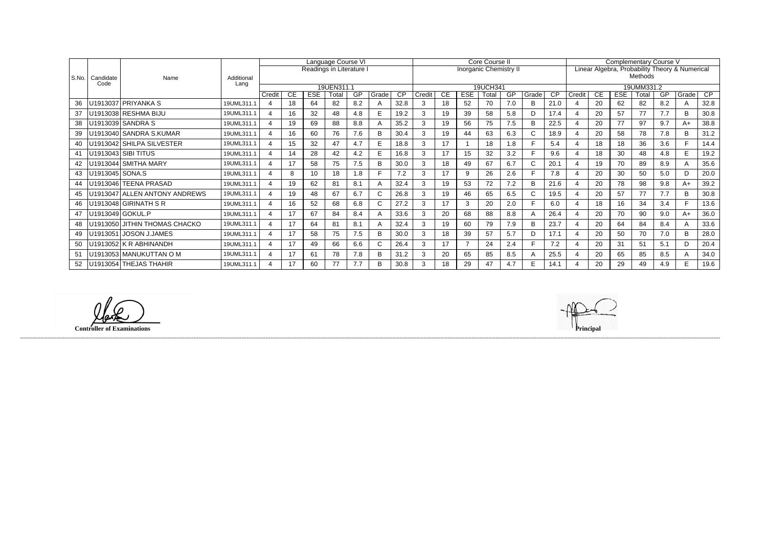|       | Candidate<br>Code | Name                          | Additional<br>Lang | Language Course VI       |           |     |       |     |       |                 |          |    |            | Core Course II                |           |              |                 | Complementary Course V                         |            |            |       |     |       |      |  |  |
|-------|-------------------|-------------------------------|--------------------|--------------------------|-----------|-----|-------|-----|-------|-----------------|----------|----|------------|-------------------------------|-----------|--------------|-----------------|------------------------------------------------|------------|------------|-------|-----|-------|------|--|--|
|       |                   |                               |                    | Readings in Literature I |           |     |       |     |       |                 |          |    |            | <b>Inorganic Chemistry II</b> |           |              |                 | Linear Algebra, Probability Theory & Numerical |            |            |       |     |       |      |  |  |
| S.No. |                   |                               |                    |                          |           |     |       |     |       |                 |          |    |            |                               |           |              |                 | Methods                                        |            |            |       |     |       |      |  |  |
|       |                   |                               |                    | 19UEN311.1               |           |     |       |     |       |                 | 19UCH341 |    |            |                               |           |              |                 |                                                | 19UMM331.2 |            |       |     |       |      |  |  |
|       |                   |                               |                    | Credit                   | <b>CE</b> | ESE | Total | GP  | Grade | $\overline{CP}$ | Credit   | CE | <b>ESE</b> | Total                         | <b>GP</b> | Grade        | $\overline{CP}$ | Credit                                         | <b>CE</b>  | <b>ESE</b> | Total | GP  | Grade | CP   |  |  |
| 36    |                   | U1913037 PRIYANKA S           | 19UML311.1         | $\overline{4}$           | 18        | 64  | 82    | 8.2 |       | 32.8            |          | 18 | 52         | 70                            | 7.0       | B            | 21.0            |                                                | 20         | 62         | 82    | 8.2 | A     | 32.8 |  |  |
| 37    |                   | U1913038 RESHMA BIJU          | 19UML311.1         |                          | 16        | 32  | 48    | 4.8 |       | 19.2            |          | 19 | 39         | 58                            | 5.8       | D            | 17.4            |                                                | 20         | 57         | 77    | 7.7 | B     | 30.8 |  |  |
| 38    |                   | U1913039 SANDRA S             | 19UML311.1         |                          | 19        | 69  | 88    | 8.8 |       | 35.2            | 3        | 19 | 56         | 75                            | 7.5       | B            | 22.5            |                                                | 20         | 77         | 97    | 9.7 | $A+$  | 38.8 |  |  |
| 39    |                   | U1913040 SANDRA S.KUMAR       | 19UML311.1         |                          | 16        | 60  | 76    | 7.6 | B     | 30.4            |          | 19 | 44         | 63                            | 6.3       | C.           | 18.9            |                                                | 20         | 58         | 78    | 7.8 | B     | 31.2 |  |  |
| 40    |                   | U1913042 SHILPA SILVESTER     | 19UML311.1         | $\boldsymbol{\Delta}$    | 15        | 32  | 47    | 4.7 | E     | 18.8            |          | 17 |            | 18                            | 1.8       | F            | 5.4             |                                                | 18         | 18         | 36    | 3.6 |       | 14.4 |  |  |
| 41    |                   | U1913043 SIBI TITUS           | 19UML311.1         | 4                        | 14        | 28  | 42    | 4.2 |       | 16.8            |          | 17 | 15         | 32                            | 3.2       |              | 9.6             |                                                | 18         | 30         | 48    | 4.8 | E     | 19.2 |  |  |
| 42    |                   | U1913044   SMITHA MARY        | 19UML311.1         | $\boldsymbol{\Delta}$    | 17        | 58  | 75    | 7.5 | B     | 30.0            | 3        | 18 | 49         | 67                            | 6.7       | $\mathsf{C}$ | 20.1            |                                                | 19         | 70         | 89    | 8.9 | A     | 35.6 |  |  |
| 43    | U1913045 SONA.S   |                               | 19UML311.1         | 4                        | 8         | 10  | 18    | 1.8 |       | 7.2             |          | 17 | 9          | 26                            | 2.6       |              | 7.8             |                                                | 20         | 30         | 50    | 5.0 | D     | 20.0 |  |  |
| 44    |                   | U1913046 TEENA PRASAD         | 19UML311.1         | $\boldsymbol{\Delta}$    | 19        | 62  | 81    | 8.1 | Α     | 32.4            | 3        | 19 | 53         | 72                            | 7.2       | B            | 21.6            |                                                | 20         | 78         | 98    | 9.8 | $A+$  | 39.2 |  |  |
| 45    |                   | U1913047 ALLEN ANTONY ANDREWS | 19UML311.1         | 4                        | 19        | 48  | 67    | 6.7 |       | 26.8            | 3        | 19 | 46         | 65                            | 6.5       | $\mathsf{C}$ | 19.5            |                                                | 20         | 57         | 77    | 7.7 | B     | 30.8 |  |  |
| 46    |                   | U1913048 GIRINATH S R         | 19UML311.1         |                          | 16        | 52  | 68    | 6.8 |       | 27.2            | 3        | 17 | 3          | 20                            | 2.0       |              | 6.0             |                                                | 18         | 16         | 34    | 3.4 |       | 13.6 |  |  |
| 47    |                   | U1913049 GOKUL.P              | 19UML311.1         | $\overline{4}$           | 17        | 67  | 84    | 8.4 |       | 33.6            | 3        | 20 | 68         | 88                            | 8.8       |              | 26.4            |                                                | 20         | 70         | 90    | 9.0 | $A+$  | 36.0 |  |  |
| 48    |                   | U1913050 JITHIN THOMAS CHACKO | 19UML311.1         | $\overline{4}$           | 17        | 64  | 81    | 8.1 |       | 32.4            | 3        | 19 | 60         | 79                            | 7.9       | B            | 23.7            |                                                | 20         | 64         | 84    | 8.4 | A     | 33.6 |  |  |
| 49    |                   | U1913051   JOSON J.JAMES      | 19UML311.1         | $\overline{4}$           | 17        | 58  | 75    | 7.5 | B     | 30.0            | 3        | 18 | 39         | 57                            | 5.7       | D            | 17.1            | $\boldsymbol{\Delta}$                          | 20         | 50         | 70    | 7.0 | B     | 28.0 |  |  |
| 50    |                   | $U1913052$ K R ABHINANDH      | 19UML311.1         | $\overline{4}$           | 17        | 49  | 66    | 6.6 | ⌒     | 26.4            | 3        | 17 |            | 24                            | 2.4       | E            | 7.2             |                                                | 20         | 31         | 51    | 5.1 | D     | 20.4 |  |  |
| 51    |                   | U1913053 MANUKUTTAN O M       | 19UML311.1         |                          | 17        | 61  | 78    | 7.8 | B     | 31.2            | 3        | 20 | 65         | 85                            | 8.5       |              | 25.5            |                                                | 20         | 65         | 85    | 8.5 | A     | 34.0 |  |  |
| 52    |                   | U1913054 THEJAS THAHIR        | 19UML311.1         |                          | 17        | 60  | 77    | 7.7 | B     | 30.8            |          | 18 | 29         | 47                            | 4.7       | E            | 14.1            |                                                | 20         | 29         | 49    | 4.9 | E.    | 19.6 |  |  |

**Controller of Examinations Principal**

------------------------------------------------------------------------------------------------------------------------------------------------------------------------------------------------------------------------------------------------------------------------------------------------------------------------------------------------------------------------------------------------------------------------

llake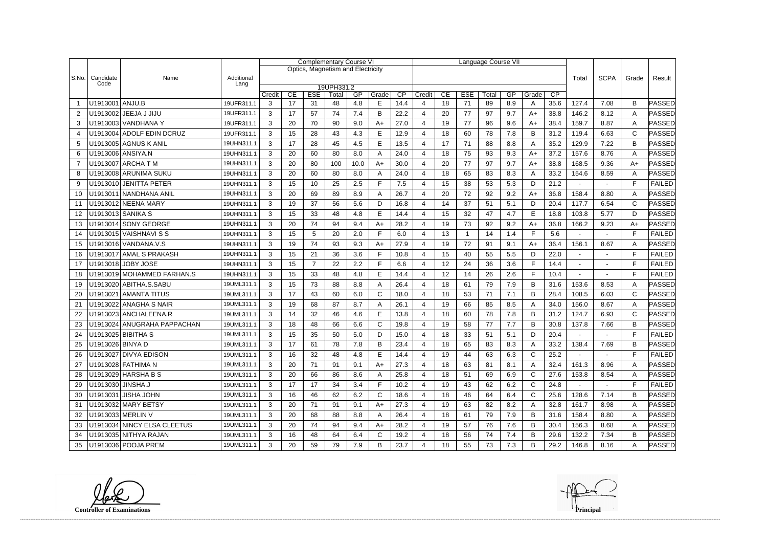|                |                   |                             |                    | <b>Complementary Course VI</b> |    |                |                                   |      |       |      |                       |    |              | Language Course VII |     |              |             |                |        |              |               |
|----------------|-------------------|-----------------------------|--------------------|--------------------------------|----|----------------|-----------------------------------|------|-------|------|-----------------------|----|--------------|---------------------|-----|--------------|-------------|----------------|--------|--------------|---------------|
|                |                   |                             |                    |                                |    |                | Optics, Magnetism and Electricity |      |       |      |                       |    |              |                     |     |              |             |                |        |              |               |
| S.No.          | Candidate<br>Code | Name                        | Additional<br>Lang |                                |    |                |                                   |      |       |      |                       |    |              |                     |     | Total        | <b>SCPA</b> | Grade          | Result |              |               |
|                |                   |                             |                    | Credit                         | CE | <b>ESE</b>     | 19UPH331.2<br>Total               | GP   | Grade | CP   | Credit                | CE | <b>ESE</b>   | Total               | GP  | Grade        | CP          |                |        |              |               |
|                | U1913001 ANJU.B   |                             | 19UFR311.1         | 3                              | 17 | 31             | 48                                | 4.8  | E     | 14.4 | 4                     | 18 | 71           | 89                  | 8.9 | A            | 35.6        | 127.4          | 7.08   | B            | PASSED        |
| 2              |                   | JEEJA J JIJU                | 19UFR311.1         | 3                              | 17 | 57             | 74                                | 7.4  | B     | 22.2 | 4                     | 20 | 77           | 97                  | 9.7 | $A+$         | 38.8        | 146.2          | 8.12   | A            | PASSED        |
| 3              |                   | U1913003 VANDHANA Y         | 19UFR311.1         | 3                              | 20 | 70             | 90                                | 9.0  | $A+$  | 27.0 | 4                     | 19 | 77           | 96                  | 9.6 | $A+$         | 38.4        | 159.7          | 8.87   | A            | PASSED        |
| 4              |                   | U1913004 ADOLF EDIN DCRUZ   | 19UFR311.1         | 3                              | 15 | 28             | 43                                | 4.3  | E     | 12.9 | $\boldsymbol{\Delta}$ | 18 | 60           | 78                  | 7.8 | B            | 31.2        | 119.4          | 6.63   | C            | PASSED        |
| 5              |                   | U1913005 AGNUS K ANIL       | 19UHN311.1         | 3                              | 17 | 28             | 45                                | 4.5  | E     | 13.5 | 4                     | 17 | 71           | 88                  | 8.8 | A            | 35.2        | 129.9          | 7.22   | B            | PASSED        |
| 6              |                   | U1913006 ANSIYA.N           | 19UHN311.1         | 3                              | 20 | 60             | 80                                | 8.0  | A     | 24.0 | 4                     | 18 | 75           | 93                  | 9.3 | $A+$         | 37.2        | 157.6          | 8.76   | A            | PASSED        |
| $\overline{7}$ |                   | U1913007   ARCHA T M        | 19UHN311.1         | 3                              | 20 | 80             | 100                               | 10.0 | $A+$  | 30.0 | 4                     | 20 | 77           | 97                  | 9.7 | $A+$         | 38.8        | 168.5          | 9.36   | $A+$         | PASSED        |
| 8              |                   | U1913008 ARUNIMA SUKU       | 19UHN311.1         | 3                              | 20 | 60             | 80                                | 8.0  | Α     | 24.0 | 4                     | 18 | 65           | 83                  | 8.3 | A            | 33.2        | 154.6          | 8.59   | A            | PASSED        |
| 9              |                   | U1913010 JENITTA PETER      | 19UHN311.1         | 3                              | 15 | 10             | 25                                | 2.5  | F     | 7.5  | 4                     | 15 | 38           | 53                  | 5.3 | D            | 21.2        | ٠              | $\sim$ | F            | <b>FAILED</b> |
| 10             |                   | U1913011 NANDHANA ANIL      | 19UHN311.1         | 3                              | 20 | 69             | 89                                | 8.9  | Α     | 26.7 | 4                     | 20 | 72           | 92                  | 9.2 | $A+$         | 36.8        | 158.4          | 8.80   | A            | PASSED        |
| 11             |                   | U1913012 NEENA MARY         | 19UHN311.1         | 3                              | 19 | 37             | 56                                | 5.6  | D     | 16.8 | 4                     | 14 | 37           | 51                  | 5.1 | D            | 20.4        | 117.7          | 6.54   | $\mathsf{C}$ | PASSED        |
| 12             |                   | U1913013  SANIKA S          | 19UHN311.1         | 3                              | 15 | 33             | 48                                | 4.8  | E     | 14.4 | 4                     | 15 | 32           | 47                  | 4.7 | E            | 18.8        | 103.8          | 5.77   | D            | PASSED        |
| 13             |                   | U1913014 SONY GEORGE        | 19UHN311.1         | 3                              | 20 | 74             | 94                                | 9.4  | $A+$  | 28.2 | 4                     | 19 | 73           | 92                  | 9.2 | $A+$         | 36.8        | 166.2          | 9.23   | $A+$         | PASSED        |
| 14             |                   | U1913015   VAISHNAVI S S    | 19UHN311.1         | 3                              | 15 | 5              | 20                                | 2.0  | F     | 6.0  | $\overline{4}$        | 13 | $\mathbf{1}$ | 14                  | 1.4 | F            | 5.6         |                |        | E            | <b>FAILED</b> |
| 15             |                   | U1913016 VANDANA.V.S        | 19UHN311.1         | 3                              | 19 | 74             | 93                                | 9.3  | $A+$  | 27.9 | 4                     | 19 | 72           | 91                  | 9.1 | $A+$         | 36.4        | 156.1          | 8.67   | A            | PASSED        |
| 16             |                   | U1913017 AMAL S PRAKASH     | 19UHN311.1         | 3                              | 15 | 21             | 36                                | 3.6  | F     | 10.8 | 4                     | 15 | 40           | 55                  | 5.5 | D            | 22.0        |                | $\sim$ | F            | <b>FAILED</b> |
| 17             |                   | U1913018 JOBY JOSE          | 19UHN311.1         | 3                              | 15 | $\overline{7}$ | 22                                | 2.2  | F     | 6.6  | 4                     | 12 | 24           | 36                  | 3.6 | F.           | 14.4        |                |        | E            | <b>FAILED</b> |
| 18             |                   | U1913019 MOHAMMED FARHAN.S  | 19UHN311.1         | 3                              | 15 | 33             | 48                                | 4.8  | E     | 14.4 | 4                     | 12 | 14           | 26                  | 2.6 | F.           | 10.4        |                |        | E            | <b>FAILED</b> |
| 19             |                   | U1913020 ABITHA.S.SABU      | 19UML311.1         | 3                              | 15 | 73             | 88                                | 8.8  | Α     | 26.4 | 4                     | 18 | 61           | 79                  | 7.9 | B            | 31.6        | 153.6          | 8.53   | A            | PASSED        |
| 20             |                   | U1913021 AMANTA TITUS       | 19UML311.1         | 3                              | 17 | 43             | 60                                | 6.0  | C     | 18.0 | 4                     | 18 | 53           | 71                  | 7.1 | B            | 28.4        | 108.5          | 6.03   | C            | PASSED        |
| 21             |                   | U1913022 ANAGHA S NAIR      | 19UML311.1         | 3                              | 19 | 68             | 87                                | 8.7  | A     | 26.1 | 4                     | 19 | 66           | 85                  | 8.5 | A            | 34.0        | 156.0          | 8.67   | A            | PASSED        |
| 22             |                   | U1913023 ANCHALEENA.R       | 19UML311.1         | 3                              | 14 | 32             | 46                                | 4.6  | E     | 13.8 | 4                     | 18 | 60           | 78                  | 7.8 | B            | 31.2        | 124.7          | 6.93   | $\mathsf{C}$ | PASSED        |
| 23             |                   | U1913024 ANUGRAHA PAPPACHAN | 19UML311.1         | 3                              | 18 | 48             | 66                                | 6.6  | C     | 19.8 | 4                     | 19 | 58           | 77                  | 7.7 | B            | 30.8        | 137.8          | 7.66   | B            | PASSED        |
| 24             |                   | U1913025 BIBITHA S          | 19UML311.1         | 3                              | 15 | 35             | 50                                | 5.0  | D     | 15.0 | Δ                     | 18 | 33           | 51                  | 5.1 | D            | 20.4        |                |        | Е            | <b>FAILED</b> |
| 25             | U1913026 BINYA D  |                             | 19UML311.1         | 3                              | 17 | 61             | 78                                | 7.8  | B     | 23.4 | Δ                     | 18 | 65           | 83                  | 8.3 | A            | 33.2        | 138.4          | 7.69   | B            | PASSED        |
| 26             |                   | U1913027 DIVYA EDISON       | 19UML311.1         | 3                              | 16 | 32             | 48                                | 4.8  | E     | 14.4 | 4                     | 19 | 44           | 63                  | 6.3 | $\mathsf{C}$ | 25.2        |                |        | F            | <b>FAILED</b> |
| 27             |                   | U1913028 FATHIMA N          | 19UML311.1         | 3                              | 20 | 71             | 91                                | 9.1  | $A+$  | 27.3 | 4                     | 18 | 63           | 81                  | 8.1 | A            | 32.4        | 161.3          | 8.96   | A            | PASSED        |
| 28             |                   | U1913029 HARSHA B S         | 19UML311.1         | 3                              | 20 | 66             | 86                                | 8.6  | A     | 25.8 | 4                     | 18 | 51           | 69                  | 6.9 | C            | 27.6        | 153.8          | 8.54   | A            | PASSED        |
| 29             | U1913030 JINSHA.J |                             | 19UML311.1         | $\mathbf{3}$                   | 17 | 17             | 34                                | 3.4  | F     | 10.2 | 4                     | 19 | 43           | 62                  | 6.2 | $\mathsf{C}$ | 24.8        | $\blacksquare$ |        | F            | <b>FAILED</b> |
| 30             |                   | U1913031 JISHA JOHN         | 19UML311.1         | 3                              | 16 | 46             | 62                                | 6.2  | C     | 18.6 | 4                     | 18 | 46           | 64                  | 6.4 | C            | 25.6        | 128.6          | 7.14   | B            | PASSED        |
| 31             |                   | U1913032 MARY BETSY         | 19UML311.1         | 3                              | 20 | 71             | 91                                | 9.1  | $A+$  | 27.3 | 4                     | 19 | 63           | 82                  | 8.2 | A            | 32.8        | 161.7          | 8.98   | A            | PASSED        |
| 32             |                   | U1913033 MERLIN V           | 19UML311.1         | 3                              | 20 | 68             | 88                                | 8.8  | A     | 26.4 | 4                     | 18 | 61           | 79                  | 7.9 | B            | 31.6        | 158.4          | 8.80   | A            | PASSED        |
| 33             |                   | U1913034 NINCY ELSA CLEETUS | 19UML311.1         | 3                              | 20 | 74             | 94                                | 9.4  | $A+$  | 28.2 | 4                     | 19 | 57           | 76                  | 7.6 | B            | 30.4        | 156.3          | 8.68   | A            | PASSED        |
| 34             |                   | U1913035 NITHYA RAJAN       | 19UML311.1         | $\mathbf{3}$                   | 16 | 48             | 64                                | 6.4  | C     | 19.2 | 4                     | 18 | 56           | 74                  | 7.4 | B            | 29.6        | 132.2          | 7.34   | B            | PASSED        |
| 35             |                   | U1913036 POOJA PREM         | 19UML311.1         | 3                              | 20 | 59             | 79                                | 7.9  | B     | 23.7 | 4                     | 18 | 55           | 73                  | 7.3 | B            | 29.2        | 146.8          | 8.16   | A            | <b>PASSED</b> |

------------------------------------------------------------------------------------------------------------------------------------------------------------------------------------------------------------------------------------------------------------------------------------------------------------------------------------------------------------------------------------------------------------------------

**Controller of Examinations**